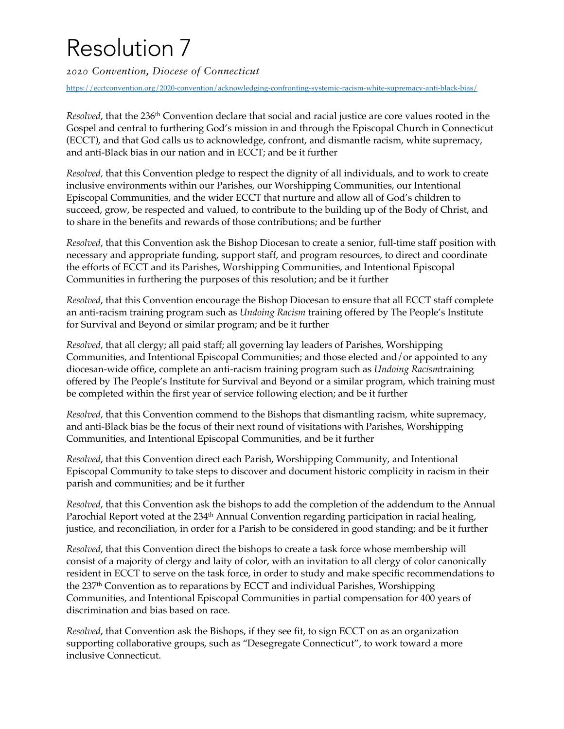# Resolution 7

*2020 Convention, Diocese of Connecticut*

https://ecctconvention.org/2020-convention/acknowledging-confronting-systemic-racism-white-supremacy-anti-black-bias/

*Resolved*, that the 236th Convention declare that social and racial justice are core values rooted in the Gospel and central to furthering God's mission in and through the Episcopal Church in Connecticut (ECCT), and that God calls us to acknowledge, confront, and dismantle racism, white supremacy, and anti-Black bias in our nation and in ECCT; and be it further

*Resolved,* that this Convention pledge to respect the dignity of all individuals, and to work to create inclusive environments within our Parishes, our Worshipping Communities, our Intentional Episcopal Communities, and the wider ECCT that nurture and allow all of God's children to succeed, grow, be respected and valued, to contribute to the building up of the Body of Christ, and to share in the benefits and rewards of those contributions; and be further

*Resolved*, that this Convention ask the Bishop Diocesan to create a senior, full-time staff position with necessary and appropriate funding, support staff, and program resources, to direct and coordinate the efforts of ECCT and its Parishes, Worshipping Communities, and Intentional Episcopal Communities in furthering the purposes of this resolution; and be it further

*Resolved*, that this Convention encourage the Bishop Diocesan to ensure that all ECCT staff complete an anti-racism training program such as *Undoing Racism* training offered by The People's Institute for Survival and Beyond or similar program; and be it further

*Resolved*, that all clergy; all paid staff; all governing lay leaders of Parishes, Worshipping Communities, and Intentional Episcopal Communities; and those elected and/or appointed to any diocesan-wide office, complete an anti-racism training program such as *Undoing Racism*training offered by The People's Institute for Survival and Beyond or a similar program, which training must be completed within the first year of service following election; and be it further

*Resolved*, that this Convention commend to the Bishops that dismantling racism, white supremacy, and anti-Black bias be the focus of their next round of visitations with Parishes, Worshipping Communities, and Intentional Episcopal Communities, and be it further

*Resolved*, that this Convention direct each Parish, Worshipping Community, and Intentional Episcopal Community to take steps to discover and document historic complicity in racism in their parish and communities; and be it further

*Resolved*, that this Convention ask the bishops to add the completion of the addendum to the Annual Parochial Report voted at the 234<sup>th</sup> Annual Convention regarding participation in racial healing, justice, and reconciliation, in order for a Parish to be considered in good standing; and be it further

*Resolved*, that this Convention direct the bishops to create a task force whose membership will consist of a majority of clergy and laity of color, with an invitation to all clergy of color canonically resident in ECCT to serve on the task force, in order to study and make specific recommendations to the 237th Convention as to reparations by ECCT and individual Parishes, Worshipping Communities, and Intentional Episcopal Communities in partial compensation for 400 years of discrimination and bias based on race.

*Resolved*, that Convention ask the Bishops, if they see fit, to sign ECCT on as an organization supporting collaborative groups, such as "Desegregate Connecticut", to work toward a more inclusive Connecticut.